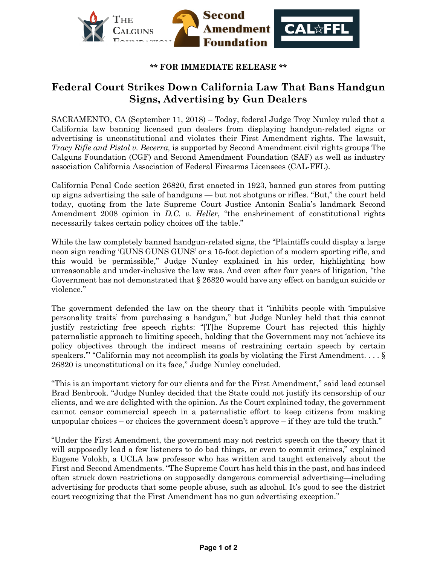

### **\*\* FOR IMMEDIATE RELEASE \*\***

## **Federal Court Strikes Down California Law That Bans Handgun Signs, Advertising by Gun Dealers**

SACRAMENTO, CA (September 11, 2018) – Today, federal Judge Troy Nunley ruled that a California law banning licensed gun dealers from displaying handgun-related signs or advertising is unconstitutional and violates their First Amendment rights. The lawsuit, *Tracy Rifle and Pistol v. Becerra,* is supported by Second Amendment civil rights groups The Calguns Foundation (CGF) and Second Amendment Foundation (SAF) as well as industry association California Association of Federal Firearms Licensees (CAL-FFL).

California Penal Code section 26820, first enacted in 1923, banned gun stores from putting up signs advertising the sale of handguns — but not shotguns or rifles. "But," the court held today, quoting from the late Supreme Court Justice Antonin Scalia's landmark Second Amendment 2008 opinion in *D.C. v. Heller*, "the enshrinement of constitutional rights necessarily takes certain policy choices off the table."

While the law completely banned handgun-related signs, the "Plaintiffs could display a large neon sign reading 'GUNS GUNS GUNS' or a 15-foot depiction of a modern sporting rifle, and this would be permissible," Judge Nunley explained in his order, highlighting how unreasonable and under-inclusive the law was. And even after four years of litigation, "the Government has not demonstrated that § 26820 would have any effect on handgun suicide or violence."

The government defended the law on the theory that it "inhibits people with 'impulsive personality traits' from purchasing a handgun," but Judge Nunley held that this cannot justify restricting free speech rights: "[T]he Supreme Court has rejected this highly paternalistic approach to limiting speech, holding that the Government may not 'achieve its policy objectives through the indirect means of restraining certain speech by certain speakers." "California may not accomplish its goals by violating the First Amendment.... § 26820 is unconstitutional on its face," Judge Nunley concluded.

"This is an important victory for our clients and for the First Amendment," said lead counsel Brad Benbrook. "Judge Nunley decided that the State could not justify its censorship of our clients, and we are delighted with the opinion. As the Court explained today, the government cannot censor commercial speech in a paternalistic effort to keep citizens from making unpopular choices – or choices the government doesn't approve – if they are told the truth."

"Under the First Amendment, the government may not restrict speech on the theory that it will supposedly lead a few listeners to do bad things, or even to commit crimes," explained Eugene Volokh, a UCLA law professor who has written and taught extensively about the First and Second Amendments. "The Supreme Court has held this in the past, and has indeed often struck down restrictions on supposedly dangerous commercial advertising—including advertising for products that some people abuse, such as alcohol. It's good to see the district court recognizing that the First Amendment has no gun advertising exception."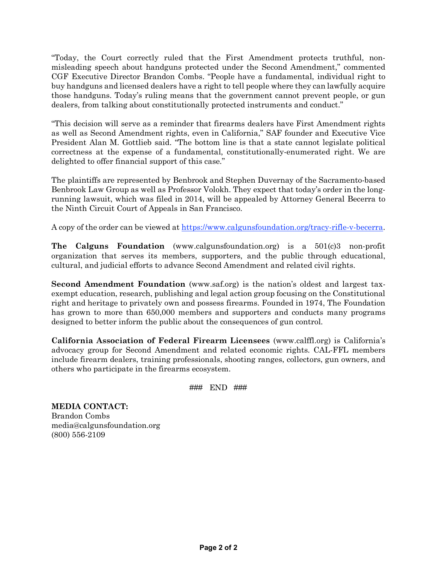"Today, the Court correctly ruled that the First Amendment protects truthful, nonmisleading speech about handguns protected under the Second Amendment," commented CGF Executive Director Brandon Combs. "People have a fundamental, individual right to buy handguns and licensed dealers have a right to tell people where they can lawfully acquire those handguns. Today's ruling means that the government cannot prevent people, or gun dealers, from talking about constitutionally protected instruments and conduct."

"This decision will serve as a reminder that firearms dealers have First Amendment rights as well as Second Amendment rights, even in California," SAF founder and Executive Vice President Alan M. Gottlieb said. "The bottom line is that a state cannot legislate political correctness at the expense of a fundamental, constitutionally-enumerated right. We are delighted to offer financial support of this case."

The plaintiffs are represented by Benbrook and Stephen Duvernay of the Sacramento-based Benbrook Law Group as well as Professor Volokh. They expect that today's order in the longrunning lawsuit, which was filed in 2014, will be appealed by Attorney General Becerra to the Ninth Circuit Court of Appeals in San Francisco.

A copy of the order can be viewed at https://www.calgunsfoundation.org/tracy-rifle-v-becerra.

**The Calguns Foundation** (www.calgunsfoundation.org) is a 501(c)3 non-profit organization that serves its members, supporters, and the public through educational, cultural, and judicial efforts to advance Second Amendment and related civil rights.

**Second Amendment Foundation** (www.saf.org) is the nation's oldest and largest taxexempt education, research, publishing and legal action group focusing on the Constitutional right and heritage to privately own and possess firearms. Founded in 1974, The Foundation has grown to more than 650,000 members and supporters and conducts many programs designed to better inform the public about the consequences of gun control.

**California Association of Federal Firearm Licensees** (www.calffl.org) is California's advocacy group for Second Amendment and related economic rights. CAL-FFL members include firearm dealers, training professionals, shooting ranges, collectors, gun owners, and others who participate in the firearms ecosystem.

### END ###

**MEDIA CONTACT:** Brandon Combs media@calgunsfoundation.org (800) 556-2109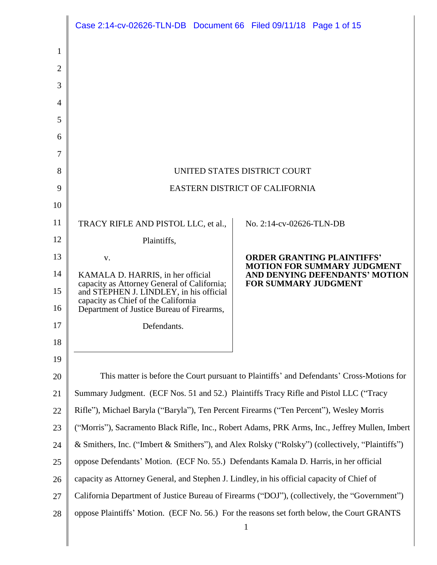|                | Case 2:14-cv-02626-TLN-DB  Document 66  Filed 09/11/18  Page 1 of 15                            |                                                                         |
|----------------|-------------------------------------------------------------------------------------------------|-------------------------------------------------------------------------|
| 1              |                                                                                                 |                                                                         |
| $\overline{2}$ |                                                                                                 |                                                                         |
| 3              |                                                                                                 |                                                                         |
| 4              |                                                                                                 |                                                                         |
| 5              |                                                                                                 |                                                                         |
| 6              |                                                                                                 |                                                                         |
| 7              |                                                                                                 |                                                                         |
| 8              |                                                                                                 | UNITED STATES DISTRICT COURT                                            |
| 9              | EASTERN DISTRICT OF CALIFORNIA                                                                  |                                                                         |
| 10             |                                                                                                 |                                                                         |
| 11             | TRACY RIFLE AND PISTOL LLC, et al.,                                                             | No. 2:14-cv-02626-TLN-DB                                                |
| 12             | Plaintiffs,                                                                                     |                                                                         |
| 13             | V.                                                                                              | <b>ORDER GRANTING PLAINTIFFS'</b><br><b>MOTION FOR SUMMARY JUDGMENT</b> |
| 14             | KAMALA D. HARRIS, in her official<br>capacity as Attorney General of California;                | AND DENYING DEFENDANTS' MOTION<br><b>FOR SUMMARY JUDGMENT</b>           |
| 15             | and STEPHEN J. LINDLEY, in his official<br>capacity as Chief of the California                  |                                                                         |
| 16             | Department of Justice Bureau of Firearms,                                                       |                                                                         |
| 17             | Defendants.                                                                                     |                                                                         |
| 18             |                                                                                                 |                                                                         |
| 19             |                                                                                                 |                                                                         |
| 20             | This matter is before the Court pursuant to Plaintiffs' and Defendants' Cross-Motions for       |                                                                         |
| 21             | Summary Judgment. (ECF Nos. 51 and 52.) Plaintiffs Tracy Rifle and Pistol LLC ("Tracy           |                                                                         |
| 22             | Rifle"), Michael Baryla ("Baryla"), Ten Percent Firearms ("Ten Percent"), Wesley Morris         |                                                                         |
| 23             | ("Morris"), Sacramento Black Rifle, Inc., Robert Adams, PRK Arms, Inc., Jeffrey Mullen, Imbert  |                                                                         |
| 24             | & Smithers, Inc. ("Imbert & Smithers"), and Alex Rolsky ("Rolsky") (collectively, "Plaintiffs") |                                                                         |
| 25             | oppose Defendants' Motion. (ECF No. 55.) Defendants Kamala D. Harris, in her official           |                                                                         |
| 26             | capacity as Attorney General, and Stephen J. Lindley, in his official capacity of Chief of      |                                                                         |
| 27             | California Department of Justice Bureau of Firearms ("DOJ"), (collectively, the "Government")   |                                                                         |
| 28             | oppose Plaintiffs' Motion. (ECF No. 56.) For the reasons set forth below, the Court GRANTS      |                                                                         |
|                |                                                                                                 | $\mathbf 1$                                                             |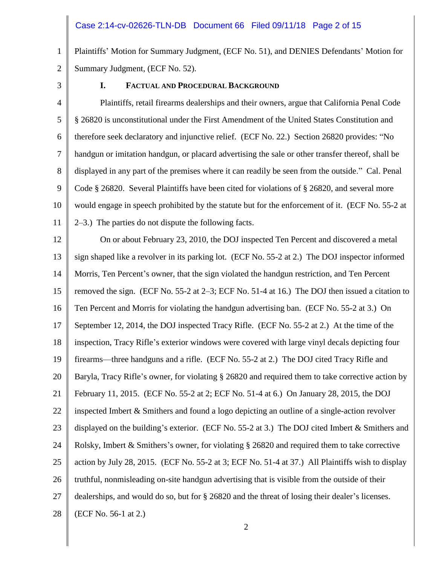## Case 2:14-cv-02626-TLN-DB Document 66 Filed 09/11/18 Page 2 of 15

1 2 Plaintiffs' Motion for Summary Judgment, (ECF No. 51), and DENIES Defendants' Motion for Summary Judgment, (ECF No. 52).

3

#### **I. FACTUAL AND PROCEDURAL BACKGROUND**

4 5 6 7 8 9 10 11 Plaintiffs, retail firearms dealerships and their owners, argue that California Penal Code § 26820 is unconstitutional under the First Amendment of the United States Constitution and therefore seek declaratory and injunctive relief. (ECF No. 22.) Section 26820 provides: "No handgun or imitation handgun, or placard advertising the sale or other transfer thereof, shall be displayed in any part of the premises where it can readily be seen from the outside." Cal. Penal Code § 26820. Several Plaintiffs have been cited for violations of § 26820, and several more would engage in speech prohibited by the statute but for the enforcement of it. (ECF No. 55-2 at 2–3.) The parties do not dispute the following facts.

12 13 14 15 16 17 18 19 20 21 22 23 24 25 26 27 28 On or about February 23, 2010, the DOJ inspected Ten Percent and discovered a metal sign shaped like a revolver in its parking lot. (ECF No. 55-2 at 2.) The DOJ inspector informed Morris, Ten Percent's owner, that the sign violated the handgun restriction, and Ten Percent removed the sign. (ECF No. 55-2 at 2–3; ECF No. 51-4 at 16.) The DOJ then issued a citation to Ten Percent and Morris for violating the handgun advertising ban. (ECF No. 55-2 at 3.) On September 12, 2014, the DOJ inspected Tracy Rifle. (ECF No. 55-2 at 2.) At the time of the inspection, Tracy Rifle's exterior windows were covered with large vinyl decals depicting four firearms—three handguns and a rifle. (ECF No. 55-2 at 2.) The DOJ cited Tracy Rifle and Baryla, Tracy Rifle's owner, for violating § 26820 and required them to take corrective action by February 11, 2015. (ECF No. 55-2 at 2; ECF No. 51-4 at 6.) On January 28, 2015, the DOJ inspected Imbert & Smithers and found a logo depicting an outline of a single-action revolver displayed on the building's exterior. (ECF No. 55-2 at 3.) The DOJ cited Imbert & Smithers and Rolsky, Imbert & Smithers's owner, for violating § 26820 and required them to take corrective action by July 28, 2015. (ECF No. 55-2 at 3; ECF No. 51-4 at 37.) All Plaintiffs wish to display truthful, nonmisleading on-site handgun advertising that is visible from the outside of their dealerships, and would do so, but for § 26820 and the threat of losing their dealer's licenses. (ECF No. 56-1 at 2.)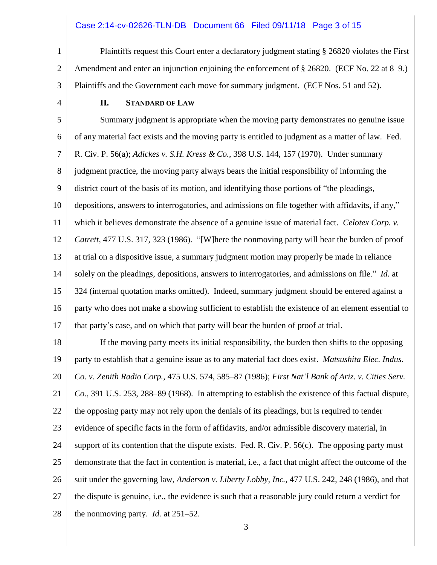## Case 2:14-cv-02626-TLN-DB Document 66 Filed 09/11/18 Page 3 of 15

- 1 2 3 Plaintiffs request this Court enter a declaratory judgment stating § 26820 violates the First Amendment and enter an injunction enjoining the enforcement of § 26820. (ECF No. 22 at 8–9.) Plaintiffs and the Government each move for summary judgment. (ECF Nos. 51 and 52).
- 4

## **II. STANDARD OF LAW**

5 6 7 8 9 10 11 12 13 14 15 16 17 Summary judgment is appropriate when the moving party demonstrates no genuine issue of any material fact exists and the moving party is entitled to judgment as a matter of law. Fed. R. Civ. P. 56(a); *Adickes v. S.H. Kress & Co.*, 398 U.S. 144, 157 (1970). Under summary judgment practice, the moving party always bears the initial responsibility of informing the district court of the basis of its motion, and identifying those portions of "the pleadings, depositions, answers to interrogatories, and admissions on file together with affidavits, if any," which it believes demonstrate the absence of a genuine issue of material fact. *Celotex Corp. v. Catrett*, 477 U.S. 317, 323 (1986). "[W]here the nonmoving party will bear the burden of proof at trial on a dispositive issue, a summary judgment motion may properly be made in reliance solely on the pleadings, depositions, answers to interrogatories, and admissions on file." *Id.* at 324 (internal quotation marks omitted). Indeed, summary judgment should be entered against a party who does not make a showing sufficient to establish the existence of an element essential to that party's case, and on which that party will bear the burden of proof at trial.

18 19 20 21 22 23 24 25 26 27 28 If the moving party meets its initial responsibility, the burden then shifts to the opposing party to establish that a genuine issue as to any material fact does exist. *Matsushita Elec. Indus. Co. v. Zenith Radio Corp.*, 475 U.S. 574, 585–87 (1986); *First Nat'l Bank of Ariz. v. Cities Serv. Co.*, 391 U.S. 253, 288–89 (1968). In attempting to establish the existence of this factual dispute, the opposing party may not rely upon the denials of its pleadings, but is required to tender evidence of specific facts in the form of affidavits, and/or admissible discovery material, in support of its contention that the dispute exists. Fed. R. Civ. P.  $56(c)$ . The opposing party must demonstrate that the fact in contention is material, i.e., a fact that might affect the outcome of the suit under the governing law, *Anderson v. Liberty Lobby, Inc.*, 477 U.S. 242, 248 (1986), and that the dispute is genuine, i.e., the evidence is such that a reasonable jury could return a verdict for the nonmoving party. *Id.* at 251–52.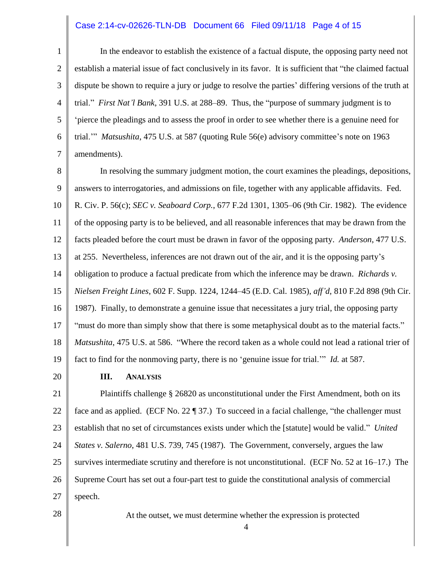#### Case 2:14-cv-02626-TLN-DB Document 66 Filed 09/11/18 Page 4 of 15

3

4

5

6

7

1

In the endeavor to establish the existence of a factual dispute, the opposing party need not establish a material issue of fact conclusively in its favor. It is sufficient that "the claimed factual dispute be shown to require a jury or judge to resolve the parties' differing versions of the truth at trial." *First Nat'l Bank*, 391 U.S. at 288–89. Thus, the "purpose of summary judgment is to 'pierce the pleadings and to assess the proof in order to see whether there is a genuine need for trial.'" *Matsushita*, 475 U.S. at 587 (quoting Rule 56(e) advisory committee's note on 1963 amendments).

8 9 10 11 12 13 14 15 16 17 18 19 In resolving the summary judgment motion, the court examines the pleadings, depositions, answers to interrogatories, and admissions on file, together with any applicable affidavits. Fed. R. Civ. P. 56(c); *SEC v. Seaboard Corp.*, 677 F.2d 1301, 1305–06 (9th Cir. 1982). The evidence of the opposing party is to be believed, and all reasonable inferences that may be drawn from the facts pleaded before the court must be drawn in favor of the opposing party. *Anderson*, 477 U.S. at 255. Nevertheless, inferences are not drawn out of the air, and it is the opposing party's obligation to produce a factual predicate from which the inference may be drawn. *Richards v. Nielsen Freight Lines*, 602 F. Supp. 1224, 1244–45 (E.D. Cal. 1985), *aff'd*, 810 F.2d 898 (9th Cir. 1987). Finally, to demonstrate a genuine issue that necessitates a jury trial, the opposing party "must do more than simply show that there is some metaphysical doubt as to the material facts." *Matsushita*, 475 U.S. at 586. "Where the record taken as a whole could not lead a rational trier of fact to find for the nonmoving party, there is no 'genuine issue for trial.'" *Id.* at 587.

20

#### **III. ANALYSIS**

21 22 23 24 25 26 27 Plaintiffs challenge § 26820 as unconstitutional under the First Amendment, both on its face and as applied. (ECF No. 22  $\P$  37.) To succeed in a facial challenge, "the challenger must establish that no set of circumstances exists under which the [statute] would be valid." *United States v. Salerno*, 481 U.S. 739, 745 (1987). The Government, conversely, argues the law survives intermediate scrutiny and therefore is not unconstitutional. (ECF No. 52 at 16–17.) The Supreme Court has set out a four-part test to guide the constitutional analysis of commercial speech.

28

At the outset, we must determine whether the expression is protected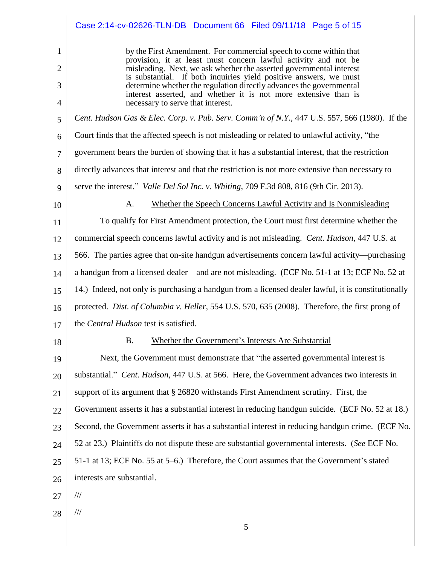|                | Case 2:14-cv-02626-TLN-DB  Document 66  Filed 09/11/18  Page 5 of 15                                                                     |  |  |
|----------------|------------------------------------------------------------------------------------------------------------------------------------------|--|--|
| 1              | by the First Amendment. For commercial speech to come within that                                                                        |  |  |
| $\overline{2}$ | provision, it at least must concern lawful activity and not be<br>misleading. Next, we ask whether the asserted governmental interest    |  |  |
| 3              | is substantial. If both inquiries yield positive answers, we must<br>determine whether the regulation directly advances the governmental |  |  |
| $\overline{4}$ | interest asserted, and whether it is not more extensive than is<br>necessary to serve that interest.                                     |  |  |
| 5              | Cent. Hudson Gas & Elec. Corp. v. Pub. Serv. Comm'n of N.Y., 447 U.S. 557, 566 (1980). If the                                            |  |  |
| 6              | Court finds that the affected speech is not misleading or related to unlawful activity, "the                                             |  |  |
| 7              | government bears the burden of showing that it has a substantial interest, that the restriction                                          |  |  |
| 8              | directly advances that interest and that the restriction is not more extensive than necessary to                                         |  |  |
| 9              | serve the interest." <i>Valle Del Sol Inc. v. Whiting</i> , 709 F.3d 808, 816 (9th Cir. 2013).                                           |  |  |
| 10             | Whether the Speech Concerns Lawful Activity and Is Nonmisleading<br>А.                                                                   |  |  |
| 11             | To qualify for First Amendment protection, the Court must first determine whether the                                                    |  |  |
| 12             | commercial speech concerns lawful activity and is not misleading. Cent. Hudson, 447 U.S. at                                              |  |  |
| 13             | 566. The parties agree that on-site handgun advertisements concern lawful activity—purchasing                                            |  |  |
| 14             | a handgun from a licensed dealer—and are not misleading. (ECF No. 51-1 at 13; ECF No. 52 at                                              |  |  |
| 15             | 14.) Indeed, not only is purchasing a handgun from a licensed dealer lawful, it is constitutionally                                      |  |  |
| 16             | protected. Dist. of Columbia v. Heller, 554 U.S. 570, 635 (2008). Therefore, the first prong of                                          |  |  |
| 17             | the Central Hudson test is satisfied.                                                                                                    |  |  |
| 18             | Whether the Government's Interests Are Substantial<br><b>B.</b>                                                                          |  |  |
| 19             | Next, the Government must demonstrate that "the asserted governmental interest is                                                        |  |  |
| 20             | substantial." Cent. Hudson, 447 U.S. at 566. Here, the Government advances two interests in                                              |  |  |
| 21             | support of its argument that § 26820 withstands First Amendment scrutiny. First, the                                                     |  |  |
| 22             | Government asserts it has a substantial interest in reducing handgun suicide. (ECF No. 52 at 18.)                                        |  |  |
| 23             | Second, the Government asserts it has a substantial interest in reducing handgun crime. (ECF No.                                         |  |  |
| 24             | 52 at 23.) Plaintiffs do not dispute these are substantial governmental interests. (See ECF No.                                          |  |  |
| 25             | 51-1 at 13; ECF No. 55 at 5–6.) Therefore, the Court assumes that the Government's stated                                                |  |  |
| 26             | interests are substantial.                                                                                                               |  |  |
| 27             | $\frac{1}{1}$                                                                                                                            |  |  |
| 28             | $/ \! / \! /$                                                                                                                            |  |  |
|                | 5                                                                                                                                        |  |  |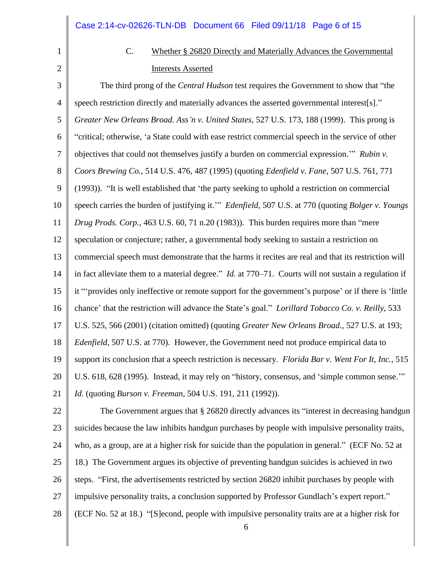|                | Case 2:14-cv-02626-TLN-DB  Document 66  Filed 09/11/18  Page 6 of 15                                           |  |
|----------------|----------------------------------------------------------------------------------------------------------------|--|
| $\mathbf{1}$   | C.<br>Whether § 26820 Directly and Materially Advances the Governmental                                        |  |
| $\overline{2}$ | <b>Interests Asserted</b>                                                                                      |  |
| 3              | The third prong of the <i>Central Hudson</i> test requires the Government to show that "the                    |  |
| $\overline{4}$ | speech restriction directly and materially advances the asserted governmental interest[s]."                    |  |
| 5              | Greater New Orleans Broad. Ass'n v. United States, 527 U.S. 173, 188 (1999). This prong is                     |  |
| 6              | "critical; otherwise, 'a State could with ease restrict commercial speech in the service of other              |  |
| 7              | objectives that could not themselves justify a burden on commercial expression." Rubin v.                      |  |
| 8              | Coors Brewing Co., 514 U.S. 476, 487 (1995) (quoting Edenfield v. Fane, 507 U.S. 761, 771                      |  |
| 9              | (1993)). "It is well established that 'the party seeking to uphold a restriction on commercial                 |  |
| 10             | speech carries the burden of justifying it."" Edenfield, 507 U.S. at 770 (quoting Bolger v. Youngs             |  |
| 11             | Drug Prods. Corp., 463 U.S. 60, 71 n.20 (1983)). This burden requires more than "mere                          |  |
| 12             | speculation or conjecture; rather, a governmental body seeking to sustain a restriction on                     |  |
| 13             | commercial speech must demonstrate that the harms it recites are real and that its restriction will            |  |
| 14             | in fact alleviate them to a material degree." <i>Id.</i> at $770-71$ . Courts will not sustain a regulation if |  |
| 15             | it "provides only ineffective or remote support for the government's purpose' or if there is 'little           |  |
| 16             | chance' that the restriction will advance the State's goal." Lorillard Tobacco Co. v. Reilly, 533              |  |
| 17             | U.S. 525, 566 (2001) (citation omitted) (quoting Greater New Orleans Broad., 527 U.S. at 193;                  |  |
| 18             | <i>Edenfield</i> , 507 U.S. at 770). However, the Government need not produce empirical data to                |  |
| 19             | support its conclusion that a speech restriction is necessary. Florida Bar v. Went For It, Inc., 515           |  |
| 20             | U.S. 618, 628 (1995). Instead, it may rely on "history, consensus, and 'simple common sense."                  |  |
| 21             | <i>Id.</i> (quoting <i>Burson v. Freeman,</i> 504 U.S. 191, 211 (1992)).                                       |  |
| 22             | The Government argues that § 26820 directly advances its "interest in decreasing handgun                       |  |
| 23             | suicides because the law inhibits handgun purchases by people with impulsive personality traits,               |  |
| 24             | who, as a group, are at a higher risk for suicide than the population in general." (ECF No. 52 at              |  |
| 25             | 18.) The Government argues its objective of preventing handgun suicides is achieved in two                     |  |
| 26             | steps. "First, the advertisements restricted by section 26820 inhibit purchases by people with                 |  |
| 27             | impulsive personality traits, a conclusion supported by Professor Gundlach's expert report."                   |  |
| 28             | (ECF No. 52 at 18.) "[S] econd, people with impulsive personality traits are at a higher risk for<br>6         |  |

 $\parallel$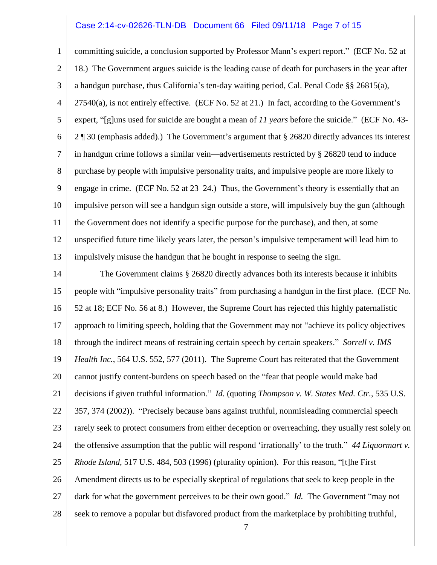## Case 2:14-cv-02626-TLN-DB Document 66 Filed 09/11/18 Page 7 of 15

1 2 3 4 5 6 7 8 9 10 11 12 13 committing suicide, a conclusion supported by Professor Mann's expert report." (ECF No. 52 at 18.) The Government argues suicide is the leading cause of death for purchasers in the year after a handgun purchase, thus California's ten-day waiting period, Cal. Penal Code §§ 26815(a),  $27540(a)$ , is not entirely effective. (ECF No. 52 at 21.) In fact, according to the Government's expert, "[g]uns used for suicide are bought a mean of *11 years* before the suicide." (ECF No. 43- 2 ¶ 30 (emphasis added).) The Government's argument that § 26820 directly advances its interest in handgun crime follows a similar vein—advertisements restricted by § 26820 tend to induce purchase by people with impulsive personality traits, and impulsive people are more likely to engage in crime. (ECF No. 52 at 23–24.) Thus, the Government's theory is essentially that an impulsive person will see a handgun sign outside a store, will impulsively buy the gun (although the Government does not identify a specific purpose for the purchase), and then, at some unspecified future time likely years later, the person's impulsive temperament will lead him to impulsively misuse the handgun that he bought in response to seeing the sign.

14 15 16 17 18 19 20 21 22 23 24 25 26 27 28 The Government claims § 26820 directly advances both its interests because it inhibits people with "impulsive personality traits" from purchasing a handgun in the first place. (ECF No. 52 at 18; ECF No. 56 at 8.) However, the Supreme Court has rejected this highly paternalistic approach to limiting speech, holding that the Government may not "achieve its policy objectives through the indirect means of restraining certain speech by certain speakers." *Sorrell v. IMS Health Inc.*, 564 U.S. 552, 577 (2011). The Supreme Court has reiterated that the Government cannot justify content-burdens on speech based on the "fear that people would make bad decisions if given truthful information." *Id.* (quoting *Thompson v. W. States Med. Ctr.*, 535 U.S. 357, 374 (2002)). "Precisely because bans against truthful, nonmisleading commercial speech rarely seek to protect consumers from either deception or overreaching, they usually rest solely on the offensive assumption that the public will respond 'irrationally' to the truth." *44 Liquormart v. Rhode Island*, 517 U.S. 484, 503 (1996) (plurality opinion). For this reason, "[t]he First Amendment directs us to be especially skeptical of regulations that seek to keep people in the dark for what the government perceives to be their own good." *Id.* The Government "may not seek to remove a popular but disfavored product from the marketplace by prohibiting truthful,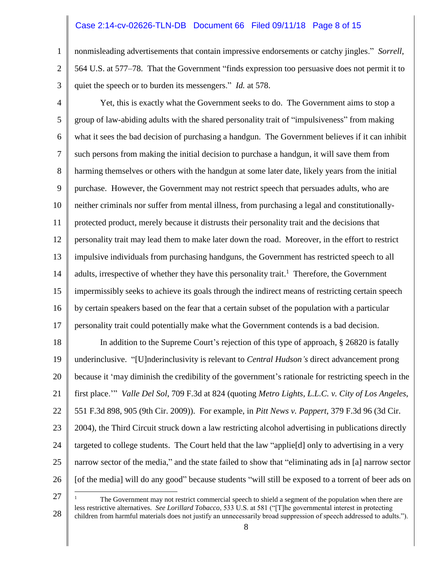## Case 2:14-cv-02626-TLN-DB Document 66 Filed 09/11/18 Page 8 of 15

1 2 nonmisleading advertisements that contain impressive endorsements or catchy jingles." *Sorrell*, 564 U.S. at 577–78. That the Government "finds expression too persuasive does not permit it to quiet the speech or to burden its messengers." *Id.* at 578.

3

4 5 6 7 8 9 10 11 12 13 14 15 16 17 Yet, this is exactly what the Government seeks to do. The Government aims to stop a group of law-abiding adults with the shared personality trait of "impulsiveness" from making what it sees the bad decision of purchasing a handgun. The Government believes if it can inhibit such persons from making the initial decision to purchase a handgun, it will save them from harming themselves or others with the handgun at some later date, likely years from the initial purchase. However, the Government may not restrict speech that persuades adults, who are neither criminals nor suffer from mental illness, from purchasing a legal and constitutionallyprotected product, merely because it distrusts their personality trait and the decisions that personality trait may lead them to make later down the road. Moreover, in the effort to restrict impulsive individuals from purchasing handguns, the Government has restricted speech to all adults, irrespective of whether they have this personality trait.<sup>1</sup> Therefore, the Government impermissibly seeks to achieve its goals through the indirect means of restricting certain speech by certain speakers based on the fear that a certain subset of the population with a particular personality trait could potentially make what the Government contends is a bad decision.

18 19 20 21 22 23 24 25 26 In addition to the Supreme Court's rejection of this type of approach, § 26820 is fatally underinclusive. "[U]nderinclusivity is relevant to *Central Hudson's* direct advancement prong because it 'may diminish the credibility of the government's rationale for restricting speech in the first place.'" *Valle Del Sol*, 709 F.3d at 824 (quoting *Metro Lights, L.L.C. v. City of Los Angeles*, 551 F.3d 898, 905 (9th Cir. 2009)). For example, in *Pitt News v. Pappert*, 379 F.3d 96 (3d Cir. 2004), the Third Circuit struck down a law restricting alcohol advertising in publications directly targeted to college students. The Court held that the law "applie[d] only to advertising in a very narrow sector of the media," and the state failed to show that "eliminating ads in [a] narrow sector [of the media] will do any good" because students "will still be exposed to a torrent of beer ads on

 $\overline{a}$ 

<sup>27</sup>

<sup>28</sup> <sup>1</sup> The Government may not restrict commercial speech to shield a segment of the population when there are less restrictive alternatives. *See Lorillard Tobacco*, 533 U.S. at 581 ("[T]he governmental interest in protecting children from harmful materials does not justify an unnecessarily broad suppression of speech addressed to adults.").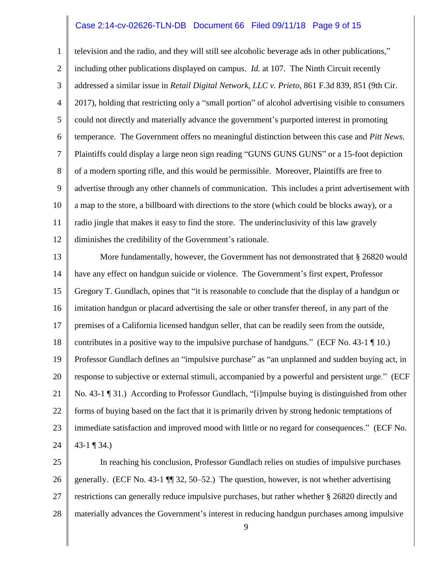## Case 2:14-cv-02626-TLN-DB Document 66 Filed 09/11/18 Page 9 of 15

1 2 3 4 5 6 7 8 9 10 11 12 television and the radio, and they will still see alcoholic beverage ads in other publications," including other publications displayed on campus. *Id.* at 107. The Ninth Circuit recently addressed a similar issue in *Retail Digital Network, LLC v. Prieto*, 861 F.3d 839, 851 (9th Cir. 2017), holding that restricting only a "small portion" of alcohol advertising visible to consumers could not directly and materially advance the government's purported interest in promoting temperance. The Government offers no meaningful distinction between this case and *Pitt News*. Plaintiffs could display a large neon sign reading "GUNS GUNS GUNS" or a 15-foot depiction of a modern sporting rifle, and this would be permissible. Moreover, Plaintiffs are free to advertise through any other channels of communication. This includes a print advertisement with a map to the store, a billboard with directions to the store (which could be blocks away), or a radio jingle that makes it easy to find the store. The underinclusivity of this law gravely diminishes the credibility of the Government's rationale.

13 14 15 16 17 18 19 20 21 22 23 24 More fundamentally, however, the Government has not demonstrated that § 26820 would have any effect on handgun suicide or violence. The Government's first expert, Professor Gregory T. Gundlach, opines that "it is reasonable to conclude that the display of a handgun or imitation handgun or placard advertising the sale or other transfer thereof, in any part of the premises of a California licensed handgun seller, that can be readily seen from the outside, contributes in a positive way to the impulsive purchase of handguns." (ECF No. 43-1  $\P$  10.) Professor Gundlach defines an "impulsive purchase" as "an unplanned and sudden buying act, in response to subjective or external stimuli, accompanied by a powerful and persistent urge." (ECF No. 43-1 ¶ 31.) According to Professor Gundlach, "[i]mpulse buying is distinguished from other forms of buying based on the fact that it is primarily driven by strong hedonic temptations of immediate satisfaction and improved mood with little or no regard for consequences." (ECF No. 43-1 ¶ 34.)

25 26 27 28 In reaching his conclusion, Professor Gundlach relies on studies of impulsive purchases generally. (ECF No. 43-1 ¶¶ 32, 50–52.) The question, however, is not whether advertising restrictions can generally reduce impulsive purchases, but rather whether § 26820 directly and materially advances the Government's interest in reducing handgun purchases among impulsive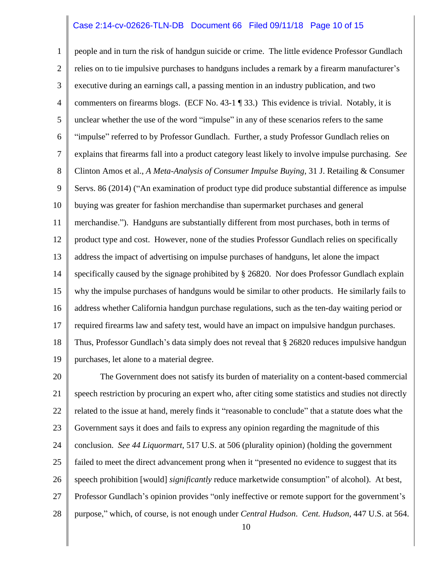## Case 2:14-cv-02626-TLN-DB Document 66 Filed 09/11/18 Page 10 of 15

1 2 3 4 5 6 7 8 9 10 11 12 13 14 15 16 17 18 19 people and in turn the risk of handgun suicide or crime. The little evidence Professor Gundlach relies on to tie impulsive purchases to handguns includes a remark by a firearm manufacturer's executive during an earnings call, a passing mention in an industry publication, and two commenters on firearms blogs. (ECF No. 43-1 ¶ 33.) This evidence is trivial. Notably, it is unclear whether the use of the word "impulse" in any of these scenarios refers to the same "impulse" referred to by Professor Gundlach. Further, a study Professor Gundlach relies on explains that firearms fall into a product category least likely to involve impulse purchasing. *See* Clinton Amos et al., *A Meta-Analysis of Consumer Impulse Buying*, 31 J. Retailing & Consumer Servs. 86 (2014) ("An examination of product type did produce substantial difference as impulse buying was greater for fashion merchandise than supermarket purchases and general merchandise."). Handguns are substantially different from most purchases, both in terms of product type and cost. However, none of the studies Professor Gundlach relies on specifically address the impact of advertising on impulse purchases of handguns, let alone the impact specifically caused by the signage prohibited by § 26820. Nor does Professor Gundlach explain why the impulse purchases of handguns would be similar to other products. He similarly fails to address whether California handgun purchase regulations, such as the ten-day waiting period or required firearms law and safety test, would have an impact on impulsive handgun purchases. Thus, Professor Gundlach's data simply does not reveal that § 26820 reduces impulsive handgun purchases, let alone to a material degree.

20 21 22 23 24 25 26 27 28 The Government does not satisfy its burden of materiality on a content-based commercial speech restriction by procuring an expert who, after citing some statistics and studies not directly related to the issue at hand, merely finds it "reasonable to conclude" that a statute does what the Government says it does and fails to express any opinion regarding the magnitude of this conclusion. *See 44 Liquormart*, 517 U.S. at 506 (plurality opinion) (holding the government failed to meet the direct advancement prong when it "presented no evidence to suggest that its speech prohibition [would] *significantly* reduce marketwide consumption" of alcohol). At best, Professor Gundlach's opinion provides "only ineffective or remote support for the government's purpose," which, of course, is not enough under *Central Hudson*. *Cent. Hudson*, 447 U.S. at 564.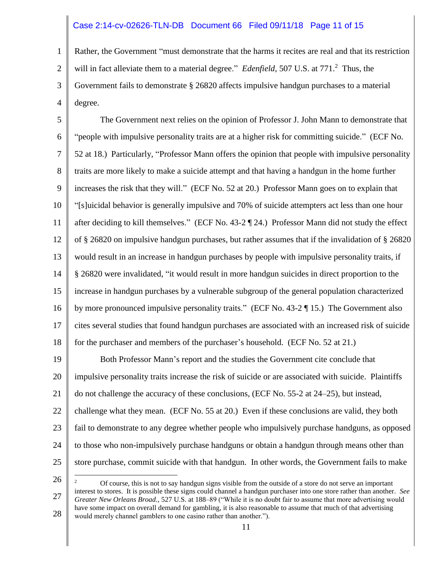## Case 2:14-cv-02626-TLN-DB Document 66 Filed 09/11/18 Page 11 of 15

Rather, the Government "must demonstrate that the harms it recites are real and that its restriction will in fact alleviate them to a material degree." *Edenfield*, 507 U.S. at 771.<sup>2</sup> Thus, the Government fails to demonstrate § 26820 affects impulsive handgun purchases to a material degree.

5 6 7 8 9 10 11 12 13 14 15 16 17 18 The Government next relies on the opinion of Professor J. John Mann to demonstrate that "people with impulsive personality traits are at a higher risk for committing suicide." (ECF No. 52 at 18.) Particularly, "Professor Mann offers the opinion that people with impulsive personality traits are more likely to make a suicide attempt and that having a handgun in the home further increases the risk that they will." (ECF No. 52 at 20.) Professor Mann goes on to explain that "[s]uicidal behavior is generally impulsive and 70% of suicide attempters act less than one hour after deciding to kill themselves." (ECF No. 43-2 ¶ 24.) Professor Mann did not study the effect of § 26820 on impulsive handgun purchases, but rather assumes that if the invalidation of § 26820 would result in an increase in handgun purchases by people with impulsive personality traits, if § 26820 were invalidated, "it would result in more handgun suicides in direct proportion to the increase in handgun purchases by a vulnerable subgroup of the general population characterized by more pronounced impulsive personality traits." (ECF No. 43-2 ¶ 15.) The Government also cites several studies that found handgun purchases are associated with an increased risk of suicide for the purchaser and members of the purchaser's household. (ECF No. 52 at 21.)

19 20 21 22 23 24 25 Both Professor Mann's report and the studies the Government cite conclude that impulsive personality traits increase the risk of suicide or are associated with suicide. Plaintiffs do not challenge the accuracy of these conclusions, (ECF No. 55-2 at 24–25), but instead, challenge what they mean. (ECF No. 55 at 20.) Even if these conclusions are valid, they both fail to demonstrate to any degree whether people who impulsively purchase handguns, as opposed to those who non-impulsively purchase handguns or obtain a handgun through means other than store purchase, commit suicide with that handgun. In other words, the Government fails to make

26

 $\overline{a}$ 

1

2

3

4

27 28 <sup>2</sup> Of course, this is not to say handgun signs visible from the outside of a store do not serve an important interest to stores. It is possible these signs could channel a handgun purchaser into one store rather than another. *See Greater New Orleans Broad.*, 527 U.S. at 188–89 ("While it is no doubt fair to assume that more advertising would have some impact on overall demand for gambling, it is also reasonable to assume that much of that advertising would merely channel gamblers to one casino rather than another.").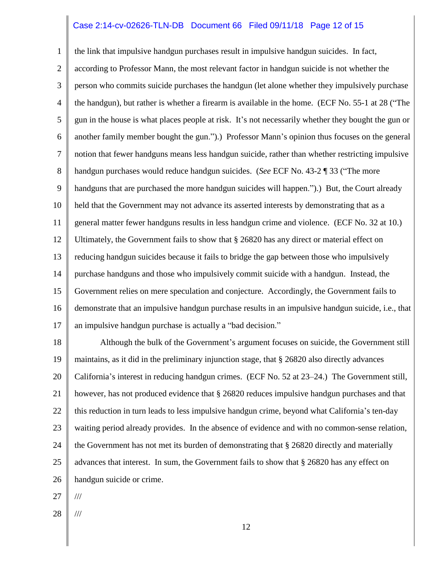## Case 2:14-cv-02626-TLN-DB Document 66 Filed 09/11/18 Page 12 of 15

1 2 3 4 5 6 7 8 9 10 11 12 13 14 15 16 17 the link that impulsive handgun purchases result in impulsive handgun suicides. In fact, according to Professor Mann, the most relevant factor in handgun suicide is not whether the person who commits suicide purchases the handgun (let alone whether they impulsively purchase the handgun), but rather is whether a firearm is available in the home. (ECF No. 55-1 at 28 ("The gun in the house is what places people at risk. It's not necessarily whether they bought the gun or another family member bought the gun.").) Professor Mann's opinion thus focuses on the general notion that fewer handguns means less handgun suicide, rather than whether restricting impulsive handgun purchases would reduce handgun suicides. (*See* ECF No. 43-2 ¶ 33 ("The more handguns that are purchased the more handgun suicides will happen.").) But, the Court already held that the Government may not advance its asserted interests by demonstrating that as a general matter fewer handguns results in less handgun crime and violence. (ECF No. 32 at 10.) Ultimately, the Government fails to show that  $\S$  26820 has any direct or material effect on reducing handgun suicides because it fails to bridge the gap between those who impulsively purchase handguns and those who impulsively commit suicide with a handgun. Instead, the Government relies on mere speculation and conjecture. Accordingly, the Government fails to demonstrate that an impulsive handgun purchase results in an impulsive handgun suicide, i.e., that an impulsive handgun purchase is actually a "bad decision."

18 19 20 21 22 23 24 25 26 Although the bulk of the Government's argument focuses on suicide, the Government still maintains, as it did in the preliminary injunction stage, that § 26820 also directly advances California's interest in reducing handgun crimes. (ECF No. 52 at 23–24.) The Government still, however, has not produced evidence that § 26820 reduces impulsive handgun purchases and that this reduction in turn leads to less impulsive handgun crime, beyond what California's ten-day waiting period already provides. In the absence of evidence and with no common-sense relation, the Government has not met its burden of demonstrating that § 26820 directly and materially advances that interest. In sum, the Government fails to show that § 26820 has any effect on handgun suicide or crime.

27 ///

28 ///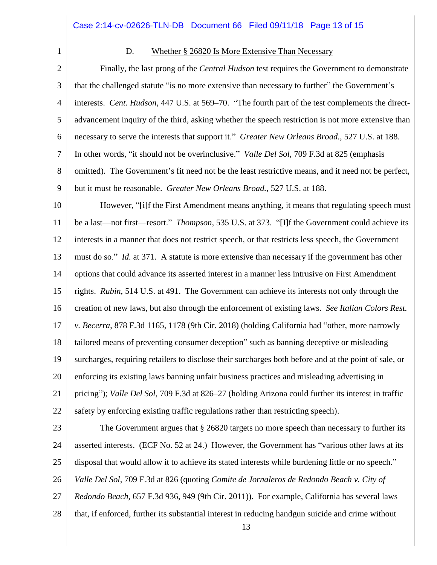2

1

## D. Whether § 26820 Is More Extensive Than Necessary

3 4 5 6 7 8 9 Finally, the last prong of the *Central Hudson* test requires the Government to demonstrate that the challenged statute "is no more extensive than necessary to further" the Government's interests. *Cent. Hudson*, 447 U.S. at 569–70. "The fourth part of the test complements the directadvancement inquiry of the third, asking whether the speech restriction is not more extensive than necessary to serve the interests that support it." *Greater New Orleans Broad.*, 527 U.S. at 188. In other words, "it should not be overinclusive." *Valle Del Sol*, 709 F.3d at 825 (emphasis omitted). The Government's fit need not be the least restrictive means, and it need not be perfect, but it must be reasonable. *Greater New Orleans Broad.*, 527 U.S. at 188.

10 11 12 13 14 15 16 17 18 19 20 21 22 However, "[i]f the First Amendment means anything, it means that regulating speech must be a last—not first—resort." *Thompson*, 535 U.S. at 373. "[I]f the Government could achieve its interests in a manner that does not restrict speech, or that restricts less speech, the Government must do so." *Id.* at 371. A statute is more extensive than necessary if the government has other options that could advance its asserted interest in a manner less intrusive on First Amendment rights. *Rubin*, 514 U.S. at 491. The Government can achieve its interests not only through the creation of new laws, but also through the enforcement of existing laws. *See Italian Colors Rest. v. Becerra*, 878 F.3d 1165, 1178 (9th Cir. 2018) (holding California had "other, more narrowly tailored means of preventing consumer deception" such as banning deceptive or misleading surcharges, requiring retailers to disclose their surcharges both before and at the point of sale, or enforcing its existing laws banning unfair business practices and misleading advertising in pricing"); *Valle Del Sol*, 709 F.3d at 826–27 (holding Arizona could further its interest in traffic safety by enforcing existing traffic regulations rather than restricting speech).

23 24 25 26 27 28 The Government argues that § 26820 targets no more speech than necessary to further its asserted interests. (ECF No. 52 at 24.) However, the Government has "various other laws at its disposal that would allow it to achieve its stated interests while burdening little or no speech." *Valle Del Sol*, 709 F.3d at 826 (quoting *Comite de Jornaleros de Redondo Beach v. City of Redondo Beach*, 657 F.3d 936, 949 (9th Cir. 2011)). For example, California has several laws that, if enforced, further its substantial interest in reducing handgun suicide and crime without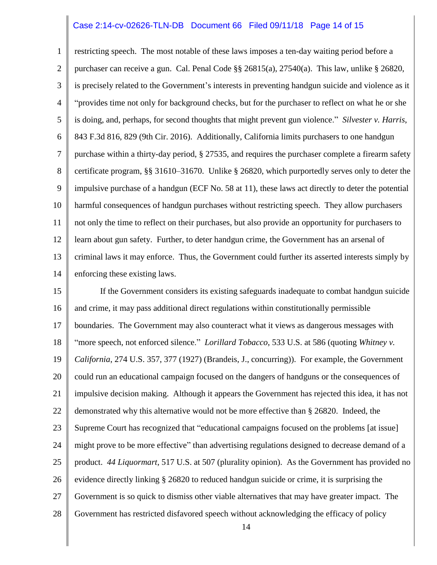## Case 2:14-cv-02626-TLN-DB Document 66 Filed 09/11/18 Page 14 of 15

1 2 3 4 5 6 7 8 9 10 11 12 13 14 restricting speech. The most notable of these laws imposes a ten-day waiting period before a purchaser can receive a gun. Cal. Penal Code §§ 26815(a), 27540(a). This law, unlike § 26820, is precisely related to the Government's interests in preventing handgun suicide and violence as it "provides time not only for background checks, but for the purchaser to reflect on what he or she is doing, and, perhaps, for second thoughts that might prevent gun violence." *Silvester v. Harris*, 843 F.3d 816, 829 (9th Cir. 2016). Additionally, California limits purchasers to one handgun purchase within a thirty-day period, § 27535, and requires the purchaser complete a firearm safety certificate program, §§ 31610–31670. Unlike § 26820, which purportedly serves only to deter the impulsive purchase of a handgun (ECF No. 58 at 11), these laws act directly to deter the potential harmful consequences of handgun purchases without restricting speech. They allow purchasers not only the time to reflect on their purchases, but also provide an opportunity for purchasers to learn about gun safety. Further, to deter handgun crime, the Government has an arsenal of criminal laws it may enforce. Thus, the Government could further its asserted interests simply by enforcing these existing laws.

15 16 17 18 19 20 21 22 23 24 25 26 27 28 If the Government considers its existing safeguards inadequate to combat handgun suicide and crime, it may pass additional direct regulations within constitutionally permissible boundaries. The Government may also counteract what it views as dangerous messages with "more speech, not enforced silence." *Lorillard Tobacco*, 533 U.S. at 586 (quoting *Whitney v. California*, 274 U.S. 357, 377 (1927) (Brandeis, J., concurring)). For example, the Government could run an educational campaign focused on the dangers of handguns or the consequences of impulsive decision making. Although it appears the Government has rejected this idea, it has not demonstrated why this alternative would not be more effective than § 26820. Indeed, the Supreme Court has recognized that "educational campaigns focused on the problems [at issue] might prove to be more effective" than advertising regulations designed to decrease demand of a product. *44 Liquormart*, 517 U.S. at 507 (plurality opinion). As the Government has provided no evidence directly linking § 26820 to reduced handgun suicide or crime, it is surprising the Government is so quick to dismiss other viable alternatives that may have greater impact. The Government has restricted disfavored speech without acknowledging the efficacy of policy